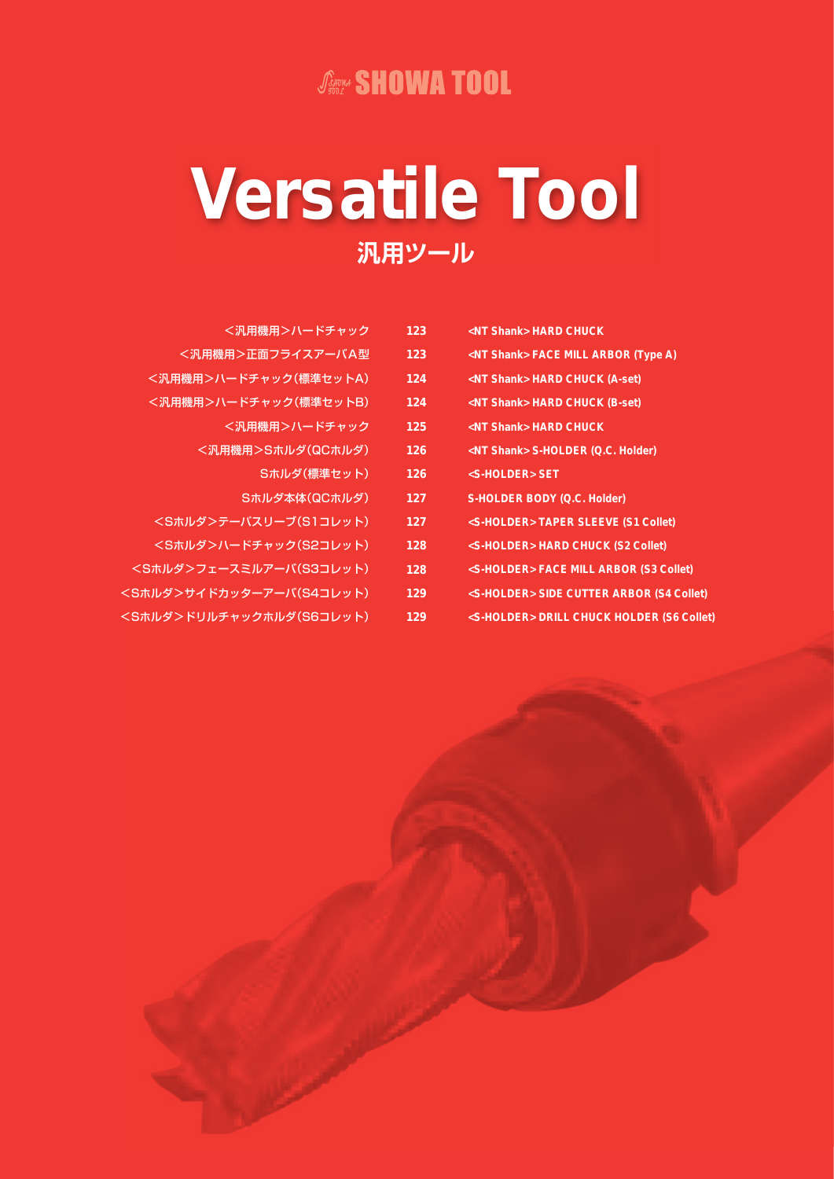## **JANNA SHOWA TOOL**

# Versatile Tool 汎用ツール

| <汎用機用>ハードチャック                | 123 | <nt shank=""> HARD CHUCK</nt>                       |
|------------------------------|-----|-----------------------------------------------------|
| <汎用機用>正面フライスアーバA型            | 123 | <nt shank=""> FACE MILL ARBOR (Type A)</nt>         |
| <汎用機用>ハードチャック(標準セットA)        | 124 | <nt shank=""> HARD CHUCK (A-set)</nt>               |
| <汎用機用>ハードチャック(標準セットB)        | 124 | <nt shank=""> HARD CHUCK (B-set)</nt>               |
| <汎用機用>ハードチャック                | 125 | <nt shank=""> HARD CHUCK</nt>                       |
| <汎用機用>Sホルダ(QCホルダ)            | 126 | <nt shank=""> S-HOLDER (Q.C. Holder)</nt>           |
| Sホルダ(標準セット)                  | 126 | <s-holder> SET</s-holder>                           |
| Sホルダ本体(QCホルダ)                | 127 | S-HOLDER BODY (Q.C. Holder)                         |
| <sホルダ>テーパスリーブ(S1コレット)</sホルダ> | 127 | <s-holder>TAPER SLEEVE (S1 Collet)</s-holder>       |
| <sホルダ>ハードチャック(S2コレット)</sホルダ> | 128 | <s-holder> HARD CHUCK (S2 Collet)</s-holder>        |
| ホルダンフェースミルアーバ(S3コレット)        | 128 | <s-holder> FACE MILL ARBOR (S3 Collet)</s-holder>   |
| ルダ>サイドカッターアーバ(S4コレット)        | 129 | <s-holder> SIDE CUTTER ARBOR (S4 Collet)</s-holder> |
| ルダ>ドリルチャックホルダ(S6コレット)        | 129 | <s-holder> DRILL CHUCK HOLDER (S6 Collet</s-holder> |

 $\leq$ s

 $\leq$ S $\pi$ 

 $<$ S $\uparrow$ 

ER (S6 Collet)

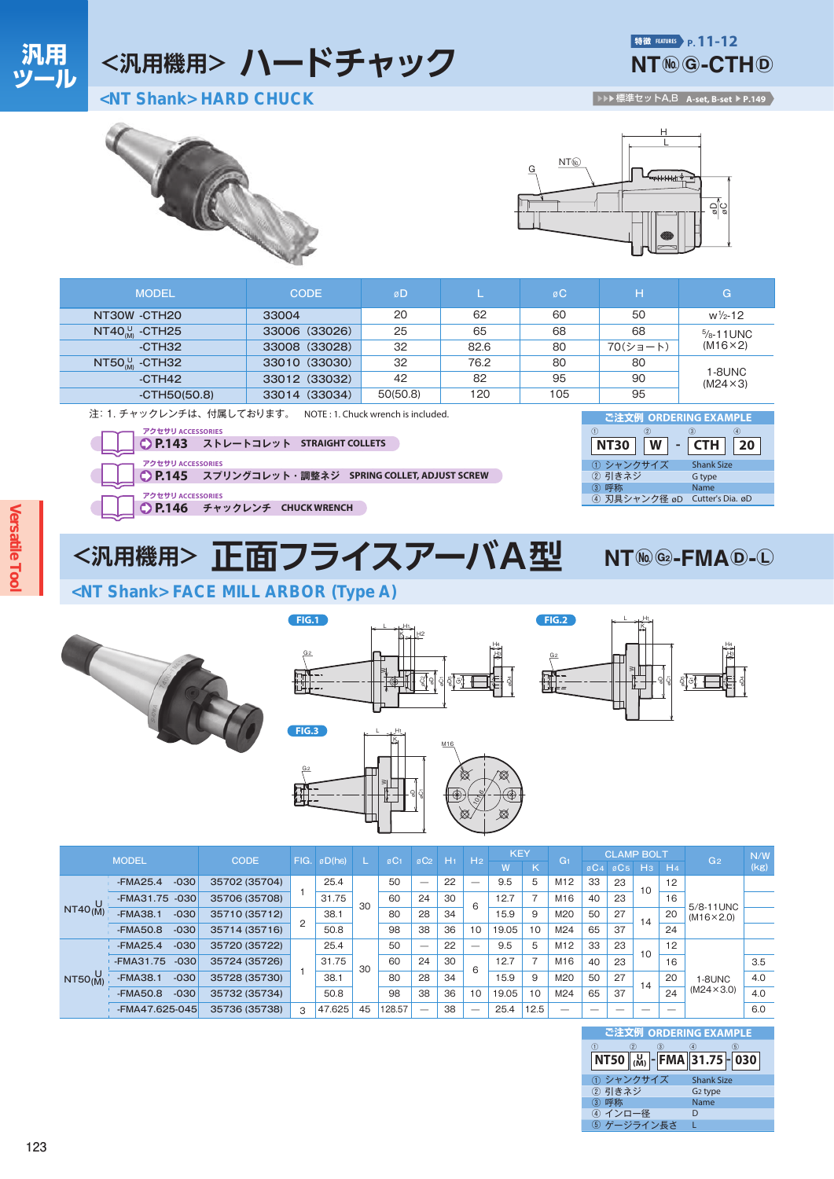## <汎用機用> ハードチャック

特徴 FEATURES P. 11-12 **NT<sup>(k)</sup> G-CTH<sup>(D)</sup>** 

<NT Shank> HARD CHUCK

▶▶▶標準セットA,B A-set, B-set ▶ P.149





| <b>MODEL</b>                                                                                                                                                                                                                                            | <b>CODE</b>   | øD                          |                                            | øC  | н        | G                     |
|---------------------------------------------------------------------------------------------------------------------------------------------------------------------------------------------------------------------------------------------------------|---------------|-----------------------------|--------------------------------------------|-----|----------|-----------------------|
| NT30W -CTH20                                                                                                                                                                                                                                            | 33004         | 20                          | 62                                         | 60  | 50       | $w\frac{1}{2} - 12$   |
| NT40 $^{U}_{M}$ -CTH25                                                                                                                                                                                                                                  | 33006 (33026) | 25                          | 65                                         | 68  | 68       | $\frac{5}{8}$ -11 UNC |
| $-CTH32$                                                                                                                                                                                                                                                | 33008 (33028) | 32                          | 82.6                                       | 80  | 70(ショート) | $(M16\times2)$        |
| NT50 $^{U}_{MM}$ -CTH32                                                                                                                                                                                                                                 | 33010 (33030) | 32                          | 76.2                                       | 80  | 80       | 1-8UNC                |
| $-CTH42$                                                                                                                                                                                                                                                | 33012 (33032) | 42                          | 82                                         | 95  | 90       | $(M24 \times 3)$      |
| $-CTH50(50.8)$                                                                                                                                                                                                                                          | 33014 (33034) | 50(50.8)                    | 120                                        | 105 | 95       |                       |
| 注: 1. チャックレンチは、付属しております。<br>NOTE: 1. Chuck wrench is included.<br>ご注文例 ORDERING EXAMPLE<br>アクセサリ ACCESSORIES<br>(3)<br>$\circ$<br>$\bigcirc$<br>(2)<br>◯ P.143 ストレートコレット STRAIGHT COLLETS<br>W<br><b>CTH</b><br><b>NT30</b><br>$\overline{\phantom{0}}$ |               |                             |                                            |     |          | 20                    |
| アクセサリ ACCESSORIES<br>$O$ P.145<br>スプリングコレット・調整ネジ SPRING COLLET, ADJUST SCREW                                                                                                                                                                            |               | ① シャンクサイズ<br>② 引きネジ<br>③ 呼称 | <b>Shank Size</b><br>G type<br><b>Name</b> |     |          |                       |

アクセサリ ACCESSORIES ● P.146 チャックレンチ CHUCK WRENCH

<汎用機用> 正面フライスアーバA型



 $NT$  ( $\omega$ ) ( $G$ 2) -  $FMA$  (D) - (L)

<NT Shank> FACE MILL ARBOR (Type A)

FIG.1









| 3<br>2<br>$\overline{5}$<br>NT50 (M <sub>)</sub> - FMA 31.75 - 030<br>① シャンクサイズ<br><b>Shank Size</b><br>② 引きネジ<br>G <sub>2</sub> type<br>Name<br>4) インロー径 | ご注文例 ORDERING EXAMPLE |  |
|-----------------------------------------------------------------------------------------------------------------------------------------------------------|-----------------------|--|
|                                                                                                                                                           |                       |  |
|                                                                                                                                                           |                       |  |
|                                                                                                                                                           |                       |  |
|                                                                                                                                                           |                       |  |
|                                                                                                                                                           |                       |  |
|                                                                                                                                                           |                       |  |
|                                                                                                                                                           | ゲージライン長さ              |  |

# **Versatile Too**

汎用

ツール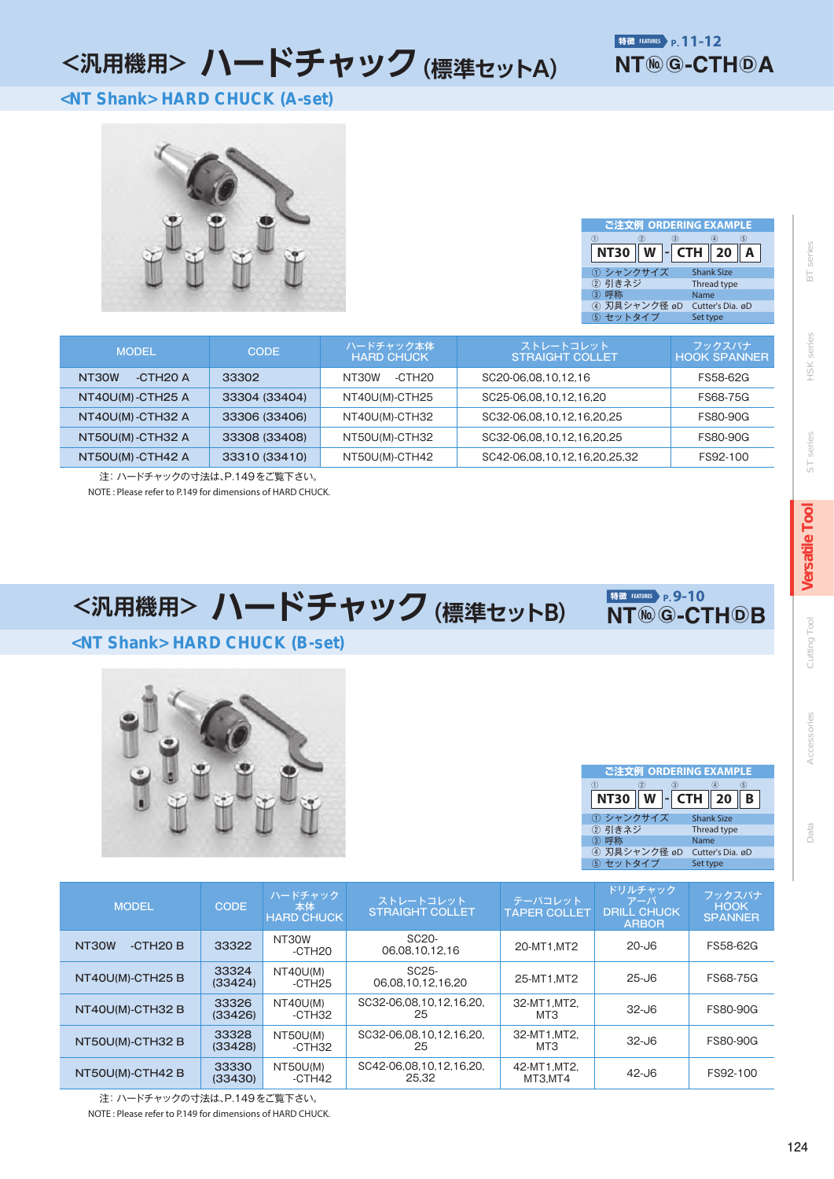## <汎用機用> ハードチャック (標準セットA)

<NT Shank> HARD CHUCK (A-set)



| ご注文例 ORDERING EXAMPLE |                          |
|-----------------------|--------------------------|
| 3<br>2<br>Œ<br>NT30   | G)<br>W $\vert$ - CTH 20 |
| ① シャンクサイズ             | <b>Shank Size</b>        |
| ② 引きネジ                | Thread type              |
|                       | Name                     |
| 4) 刃具シャンク径 øD         | Cutter's Dia. øD         |
| 5 セットタイプ              | Set type                 |

| <b>MODEL</b>                                    | <b>CODE</b>   | ハードチャック本体<br><b>HARD CHUCK</b> | ストレートコレット<br><b>STRAIGHT COLLET</b> | フックスパナ<br><b>HOOK SPANNER</b> |
|-------------------------------------------------|---------------|--------------------------------|-------------------------------------|-------------------------------|
| $-$ CTH <sub>20</sub> $\land$<br>33302<br>NT30W |               | -CTH <sub>20</sub><br>NT30W    | SC20-06.08.10.12.16                 | FS58-62G                      |
| NT40U(M)-CTH25 A                                | 33304 (33404) | NT40U(M)-CTH25                 | SC25-06.08.10.12.16.20              | FS68-75G                      |
| NT40U(M)-CTH32 A                                | 33306 (33406) | NT40U(M)-CTH32                 | SC32-06.08.10.12.16.20.25           | <b>FS80-90G</b>               |
| NT50U(M)-CTH32 A                                | 33308 (33408) | NT50U(M)-CTH32                 | SC32-06.08.10.12.16.20.25           | <b>FS80-90G</b>               |
| NT50U(M)-CTH42 A                                | 33310 (33410) | NT50U(M)-CTH42                 | SC42-06.08.10.12.16.20.25.32        | FS92-100                      |

注: ハードチャックの寸法は、P.149をご覧下さい。 NOTE: Please refer to P.149 for dimensions of HARD CHUCK.

<汎用機用> ハードチャック (標準セットB)

特徵 FEATURES P.9-10 **NT®©-CTHOB** 

#### <NT Shank> HARD CHUCK (B-set)





series  $\overline{\Xi}$ 

series HSK<sub>3</sub>

series  $\overline{5}$ 

**Versatile Tool** 

Cutting Tool

Accessories

Data

| <b>MODEL</b>        | CODE             | ハードチャック<br>本体<br><b>HARD CHUCK</b> | ストレートコレット<br><b>STRAIGHT COLLET</b>     | テーパコレット<br><b>TAPER COLLET</b> | ドリルチャック<br>アーバ<br><b>DRILL CHUCK</b><br><b>ARBOR</b> | フックスパナ<br><b>HOOK</b><br><b>SPANNER</b> |
|---------------------|------------------|------------------------------------|-----------------------------------------|--------------------------------|------------------------------------------------------|-----------------------------------------|
| $-CTH2O$ B<br>NT30W | 33322            | NT30W<br>$-CTH20$                  | SC <sub>20</sub> -<br>06.08.10.12.16    | 20-MT1.MT2                     | 20-J6                                                | FS58-62G                                |
| NT40U(M)-CTH25 B    | 33324<br>(33424) | NT40U(M)<br>$-CTH25$               | SC <sub>25</sub> -<br>06.08.10.12.16.20 | 25-MT1.MT2                     | $25 - 16$                                            | FS68-75G                                |
| NT40U(M)-CTH32 B    | 33326<br>(33426) | NT40U(M)<br>-CTH32                 | SC32-06.08.10.12.16.20.<br>25           | 32-MT1.MT2.<br>MT3             | $32 - 16$                                            | FS80-90G                                |
| NT50U(M)-CTH32 B    | 33328<br>(33428) | NT50U(M)<br>-CTH32                 | SC32-06.08.10.12.16.20.<br>25           | 32-MT1, MT2,<br>MT3            | $32 - 16$                                            | FS80-90G                                |
| NT50U(M)-CTH42 B    | 33330<br>(33430) | NT50U(M)<br>-CTH42                 | SC42-06.08.10.12.16.20.<br>25.32        | 42-MT1, MT2,<br>MT3.MT4        | $42 - 16$                                            | FS92-100                                |

注: ハードチャックの寸法は、P.149をご覧下さい。

NOTE: Please refer to P.149 for dimensions of HARD CHUCK.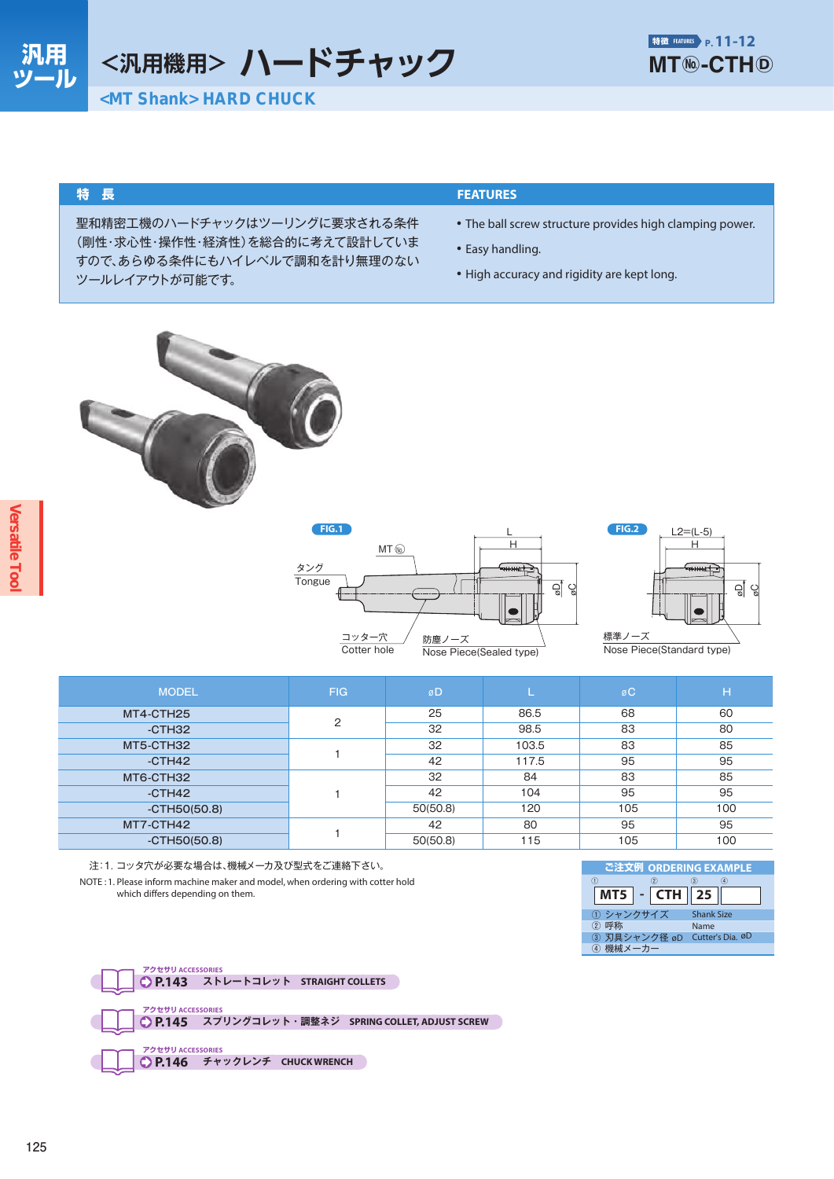<汎用機用> ハードチャック

#### 特長

聖和精密工機のハードチャックはツーリングに要求される条件 (剛性・求心性・操作性・経済性)を総合的に考えて設計していま すので、あらゆる条件にもハイレベルで調和を計り無理のない ツールレイアウトが可能です。

#### **FEATURES**

- The ball screw structure provides high clamping power.
- Easy handling.
- High accuracy and rigidity are kept long.



| гіч. і           |                         |
|------------------|-------------------------|
| $MT$ ( $\odot$ ) |                         |
| タング              | 10040444                |
| Tongue           |                         |
|                  |                         |
| コッター穴            | 防塵ノーズ                   |
| Cotter hole      | Nose Piece(Sealed type) |



| <b>MODEL</b>   | <b>FIG</b> | øD       |       | øC  | H   |
|----------------|------------|----------|-------|-----|-----|
| MT4-CTH25      | 2          | 25       | 86.5  | 68  | 60  |
| $-CTH32$       |            | 32       | 98.5  | 83  | 80  |
| MT5-CTH32      |            | 32       | 103.5 | 83  | 85  |
| $-CTH42$       |            | 42       | 117.5 | 95  | 95  |
| MT6-CTH32      |            | 32       | 84    | 83  | 85  |
| -CTH42         |            | 42       | 104   | 95  | 95  |
| $-CTH50(50.8)$ |            | 50(50.8) | 120   | 105 | 100 |
| MT7-CTH42      |            | 42       | 80    | 95  | 95  |
| $-CTH50(50.8)$ |            | 50(50.8) | 115   | 105 | 100 |

注:1. コッタ穴が必要な場合は、機械メーカ及び型式をご連絡下さい。

NOTE: 1. Please inform machine maker and model, when ordering with cotter hold which differs depending on them.



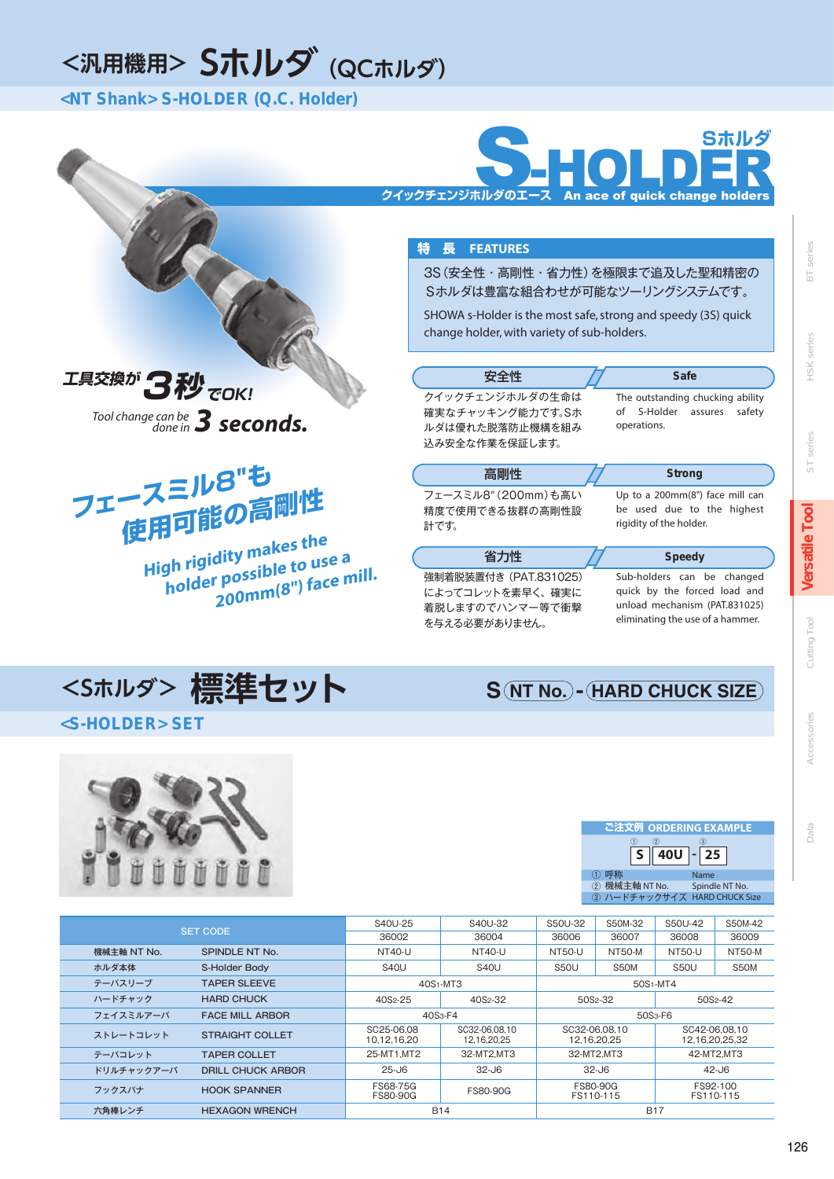## <汎用機用> Sホルダ (QCホルダ)

<NT Shank> S-HOLDER (Q.C. Holder)



#### 特 長 FEATURES

を与える必要がありません。

3S (安全性·高剛性·省力性) を極限まで追及した聖和精密の Sホルダは豊富な組合わせが可能なツーリングシステムです。

SHOWA s-Holder is the most safe, strong and speedy (3S) quick change holder, with variety of sub-holders.

| 安全性                                                                      | <b>Safe</b>                                                                                 |
|--------------------------------------------------------------------------|---------------------------------------------------------------------------------------------|
| クイックチェンジホルダの生命は<br>確実なチャッキング能力です。Sホ<br>ルダは優れた脱落防止機構を組み<br>込み安全な作業を保証します。 | The outstanding chucking ability<br>of S-Holder assures<br>safety<br>operations.            |
| 高剛性                                                                      | <b>Strong</b>                                                                               |
| フェースミル8" (200mm)も高い<br>精度で使用できる抜群の高剛性設<br>計です。                           | Up to a 200mm(8") face mill can<br>be used due to the highest<br>rigidity of the holder.    |
| 省力性                                                                      | <b>Speedy</b>                                                                               |
| 強制着脱装置付き (PAT.831025)<br>によってコレットを素早く、確実に<br>着脱しますのでハンマー等で衝撃             | Sub-holders can be changed<br>quick by the forced load and<br>unload mechanism (PAT.831025) |

unload mechanism (PAT.831025) eliminating the use of a hammer.

**S (NT No.) - HARD CHUCK SIZE** 

series

 $\overline{\Xi}$ 

series HSK

series

 $\frac{1}{\infty}$ 

**Versatile Tool** 

# 200mm(8") face mill.

Tool change can be  $3$  seconds.

使用可能の高剛性

High rigidity makes the

holder possible to use a

フェースミル8"も

エ具交換が 3秒 TOK!

## <Sホルダ>標準セット

#### <S-HOLDER> SET



|                                 |                        | S40U-25                     | S40U-32                      | S50U-32                      | S50M-32       | S50U-42               | S50M-42                         |  |
|---------------------------------|------------------------|-----------------------------|------------------------------|------------------------------|---------------|-----------------------|---------------------------------|--|
|                                 | <b>SET CODE</b>        | 36002                       | 36004                        | 36006                        | 36007         | 36008                 | 36009                           |  |
| 機械主軸 NT No.                     | SPINDLE NT No.         | <b>NT40-U</b>               | <b>NT40-U</b>                | <b>NT50-U</b>                | <b>NT50-M</b> | <b>NT50-U</b>         | <b>NT50-M</b>                   |  |
| ホルダ本体                           | S-Holder Body          | <b>S40U</b>                 | <b>S40U</b>                  | <b>S50U</b>                  | S50M          | <b>S50U</b>           | S50M                            |  |
| テーパスリーブ                         | <b>TAPER SLEEVE</b>    | $40S1$ -MT $3$              |                              |                              |               | 50S <sub>1</sub> -MT4 |                                 |  |
| ハードチャック<br><b>HARD CHUCK</b>    |                        | 40S <sub>2</sub> -25        | 40S <sub>2</sub> -32         | 50S <sub>2</sub> -32         |               | 50S <sub>2</sub> -42  |                                 |  |
| フェイスミルアーバ                       | <b>FACE MILL ARBOR</b> | 40S <sub>3</sub> -F4        |                              | 50S <sub>3</sub> -F6         |               |                       |                                 |  |
| ストレートコレット                       | <b>STRAIGHT COLLET</b> | SC25-06.08<br>10.12.16.20   | SC32-06.08.10<br>12.16.20.25 | SC32-06.08.10<br>12.16.20.25 |               |                       | SC42-06.08.10<br>12.16.20.25.32 |  |
| <b>TAPER COLLET</b><br>テーパコレット  |                        | 25-MT1.MT2                  | 32-MT2.MT3                   | 32-MT2.MT3                   |               |                       | 42-MT2.MT3                      |  |
| ドリルチャックアーバ<br>DRILL CHUCK ARBOR |                        | $25 - 16$                   | $32 - J6$                    | $32 - J6$                    |               | $42 - 06$             |                                 |  |
| フックスパナ                          | <b>HOOK SPANNER</b>    | FS68-75G<br><b>FS80-90G</b> | FS80-90G                     | <b>FS80-90G</b><br>FS110-115 |               |                       | FS92-100<br>FS110-115           |  |
| 六角棒レンチ                          | <b>HEXAGON WRENCH</b>  |                             | <b>B14</b>                   |                              | <b>B17</b>    |                       |                                 |  |

ご注文例 ORDERING EXAMPLE  $40<sub>U</sub>$  $\overline{\mathsf{s}}$ 25 ① 呼称<br>② 機械主軸 NT No. Name Spindle NT No. ③ ハードチャックサイズ HARD CHUCK Size

| í | 2<br>E<br>г |
|---|-------------|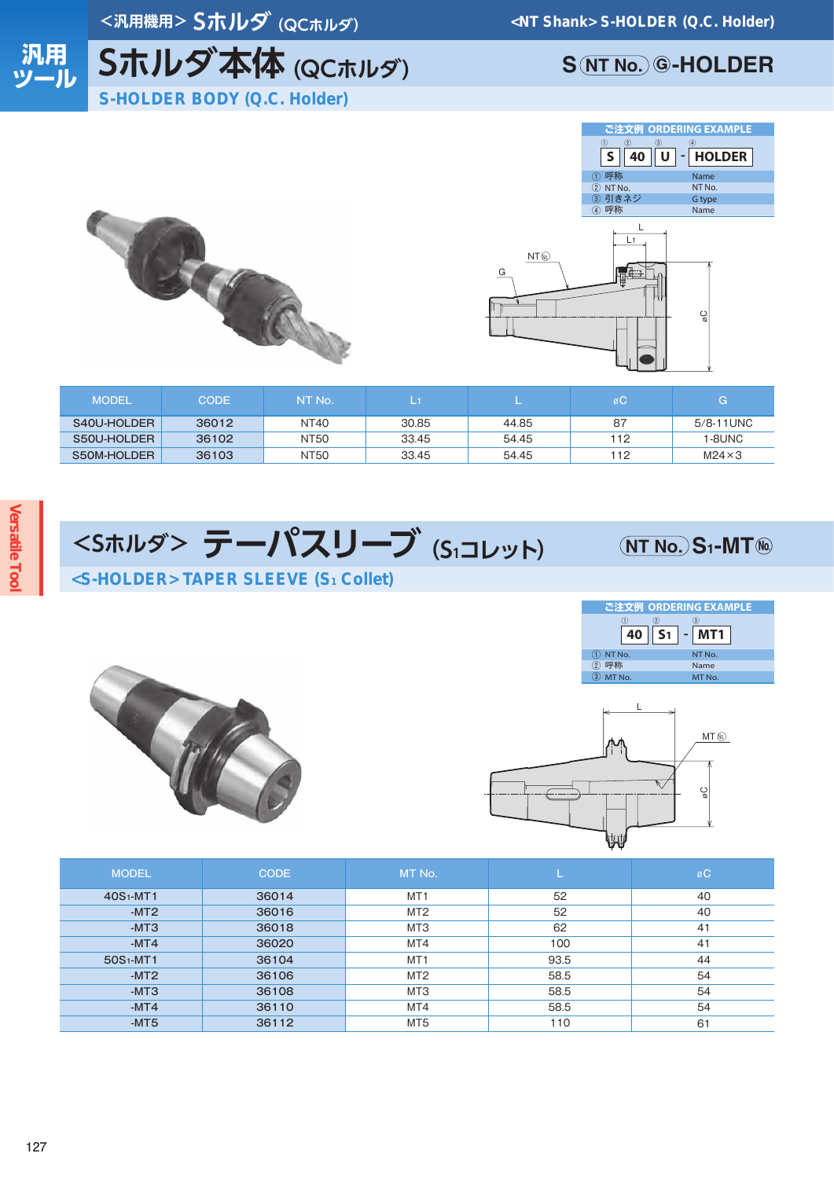<汎用機用>Sホルダ (QCホルダ)



# Sホルダ本体 (QCホルダ)

**S (NT No.) G-HOLDER** 







| <b>MODEL</b> | CODE <sup>1</sup> | NT No.      |       |       | $\circ$ | G              |
|--------------|-------------------|-------------|-------|-------|---------|----------------|
| S40U-HOLDER  | 36012             | NT40        | 30.85 | 44.85 | -87     | $5/8 - 11$ UNC |
| S50U-HOLDER  | 36102             | NT50        | 33.45 | 54.45 | 112     | 1-8UNC         |
| S50M-HOLDER  | 36103             | <b>NT50</b> | 33.45 | 54.45 | 112     | $M24 \times 3$ |

## <Sホルダ> テーパスリーブ (S1コレット) <S-HOLDER> TAPER SLEEVE (S1 Collet)

### $(NT No.) S<sub>1</sub>-MT<sub>®</sub>$







| <b>MODEL</b>          | <b>CODE</b> | MT No.          |      | øC |
|-----------------------|-------------|-----------------|------|----|
| 40S <sub>1</sub> -MT1 | 36014       | MT <sub>1</sub> | 52   | 40 |
| $-MT2$                | 36016       | MT <sub>2</sub> | 52   | 40 |
| $-MT3$                | 36018       | MT3             | 62   | 41 |
| $-MT4$                | 36020       | MT4             | 100  | 41 |
| 50S <sub>1</sub> -MT1 | 36104       | MT <sub>1</sub> | 93.5 | 44 |
| $-MT2$                | 36106       | MT <sub>2</sub> | 58.5 | 54 |
| $-MT3$                | 36108       | MT3             | 58.5 | 54 |
| $-MT4$                | 36110       | MT4             | 58.5 | 54 |
| $-MT5$                | 36112       | MT <sub>5</sub> | 110  | 61 |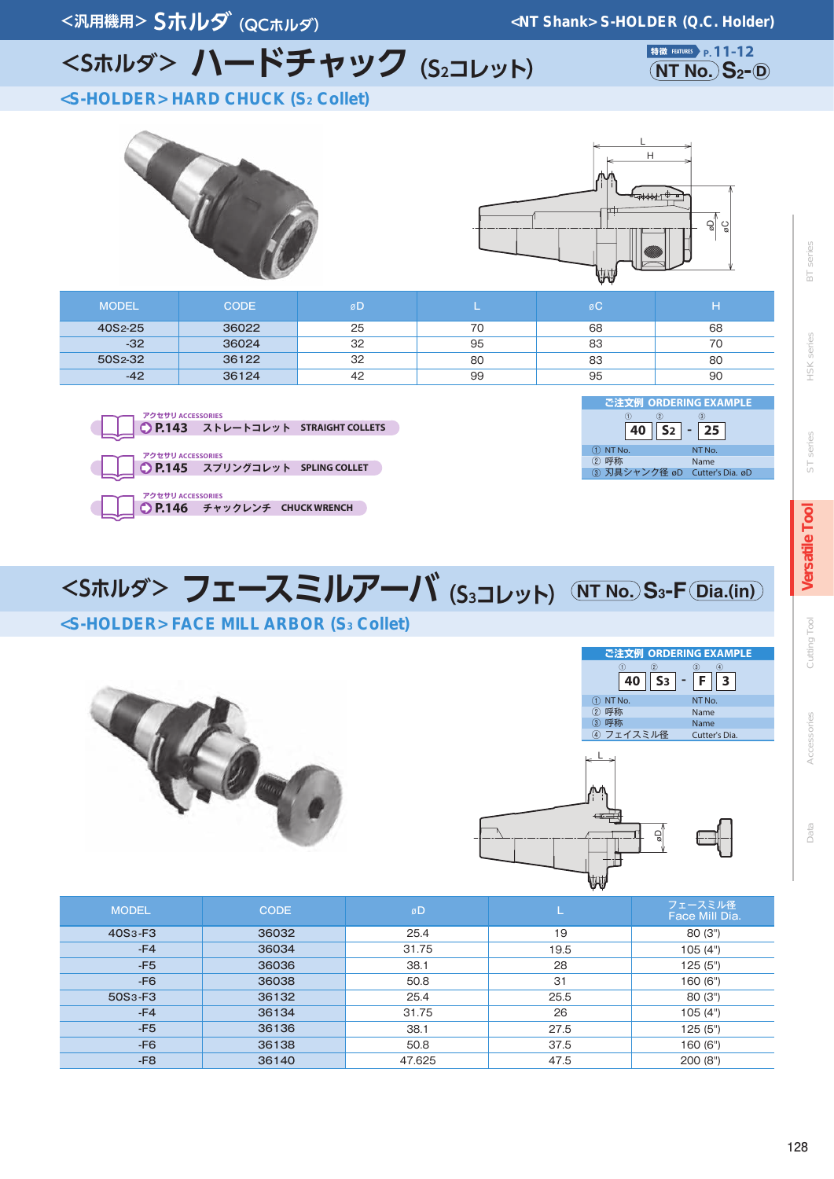<汎用機用> Sホルダ (QCホルダ)

<NT Shank> S-HOLDER (Q.C. Holder)

# <Sホルダ> ハードチャック (S2コレット)

特徴 FEATURES P. 11-12  $(NT No.) S<sub>2</sub> -  $D$ )$ 

<S-HOLDER> HARD CHUCK (S2 Collet)





| <b>MODEL</b>         | <b>CODE</b> | øD |    | øC |    |
|----------------------|-------------|----|----|----|----|
| 40S <sub>2</sub> -25 | 36022       | 25 | 70 | 68 | 68 |
| $-32$                | 36024       | 32 | 95 | 83 |    |
| 50S2-32              | 36122       | 32 | 80 | 83 | 80 |
| $-42$                | 36124       | 42 | 99 | 95 | 90 |
|                      |             |    |    |    |    |



| で注文例 ORDERING EXAMPLE         |                 |
|-------------------------------|-----------------|
|                               |                 |
| $S2$ -                        | 25 <sub>1</sub> |
| NT No.                        | NT No.          |
| (2)                           | Name            |
| 3 刃具シャンク径 øD Cutter's Dia. øD |                 |

ご注文例 ORDERING EXAMPLE

|  |  | <sホルダ> フェースミルアーバ <sub>(Sɜコレット)</sub> (NT No.)Sɜ-F(<u>Dia.(in)</u>)</sホルダ> |
|--|--|---------------------------------------------------------------------------|
|  |  |                                                                           |

### <S-HOLDER> FACE MILL ARBOR (S3 Collet)





| <b>MODEL</b>                     | <b>CODE</b> | øD     |      | フェースミル径<br>Face Mill Dia. |
|----------------------------------|-------------|--------|------|---------------------------|
| 40S <sub>3</sub> -F <sub>3</sub> | 36032       | 25.4   | 19   | 80(3")                    |
| $-F4$                            | 36034       | 31.75  | 19.5 | 105(4")                   |
| $-F5$                            | 36036       | 38.1   | 28   | 125(5")                   |
| $-F6$                            | 36038       | 50.8   | 31   | 160 (6")                  |
| 50S <sub>3</sub> -F <sub>3</sub> | 36132       | 25.4   | 25.5 | 80(3")                    |
| $-F4$                            | 36134       | 31.75  | 26   | 105(4")                   |
| $-F5$                            | 36136       | 38.1   | 27.5 | 125(5")                   |
| $-F6$                            | 36138       | 50.8   | 37.5 | 160 (6")                  |
| $-F8$                            | 36140       | 47.625 | 47.5 | 200(8")                   |

Cutting Tool

series  $\overline{5}$ 

HSK series

series

 $\overline{\mathbb{S}}$ 

Versatile Tool

Data